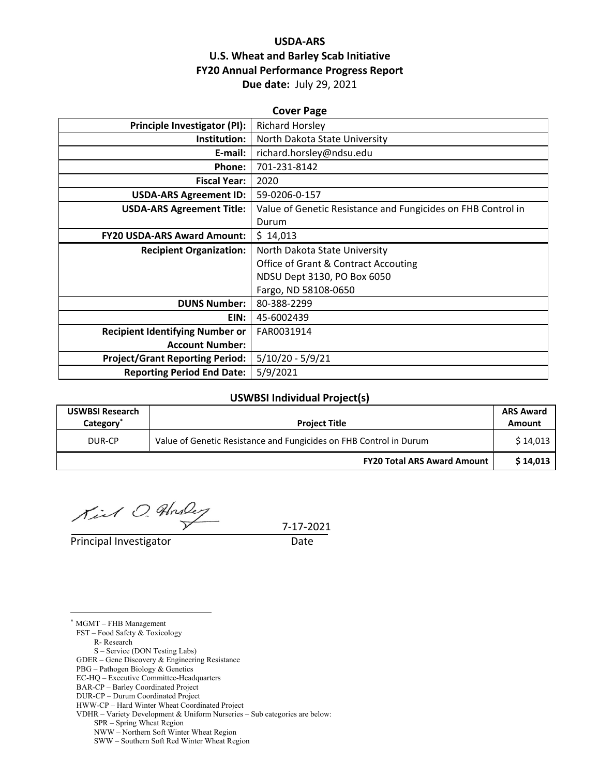## **USDA‐ARS U.S. Wheat and Barley Scab Initiative FY20 Annual Performance Progress Report Due date:** July 29, 2021

| <b>Cover Page</b>                      |                                                              |  |  |  |
|----------------------------------------|--------------------------------------------------------------|--|--|--|
| <b>Principle Investigator (PI):</b>    | <b>Richard Horsley</b>                                       |  |  |  |
| Institution:                           | North Dakota State University                                |  |  |  |
| E-mail:                                | richard.horsley@ndsu.edu                                     |  |  |  |
| Phone:                                 | 701-231-8142                                                 |  |  |  |
| <b>Fiscal Year:</b>                    | 2020                                                         |  |  |  |
| <b>USDA-ARS Agreement ID:</b>          | 59-0206-0-157                                                |  |  |  |
| <b>USDA-ARS Agreement Title:</b>       | Value of Genetic Resistance and Fungicides on FHB Control in |  |  |  |
|                                        | Durum                                                        |  |  |  |
| <b>FY20 USDA-ARS Award Amount:</b>     | \$14,013                                                     |  |  |  |
| <b>Recipient Organization:</b>         | North Dakota State University                                |  |  |  |
|                                        | <b>Office of Grant &amp; Contract Accouting</b>              |  |  |  |
|                                        | NDSU Dept 3130, PO Box 6050                                  |  |  |  |
|                                        | Fargo, ND 58108-0650                                         |  |  |  |
| <b>DUNS Number:</b>                    | 80-388-2299                                                  |  |  |  |
| EIN:                                   | 45-6002439                                                   |  |  |  |
| <b>Recipient Identifying Number or</b> | FAR0031914                                                   |  |  |  |
| <b>Account Number:</b>                 |                                                              |  |  |  |
| <b>Project/Grant Reporting Period:</b> | $5/10/20 - 5/9/21$                                           |  |  |  |
| <b>Reporting Period End Date:</b>      | 5/9/2021                                                     |  |  |  |

### **USWBSI Individual Project(s)**

| <b>USWBSI Research</b><br>Category <sup>®</sup> | <b>Project Title</b>                                               | <b>ARS Award</b><br>Amount |
|-------------------------------------------------|--------------------------------------------------------------------|----------------------------|
| DUR-CP                                          | Value of Genetic Resistance and Fungicides on FHB Control in Durum |                            |
|                                                 | <b>FY20 Total ARS Award Amount</b>                                 | \$14.013                   |

Kil O. Husley

7‐17‐2021

Principal Investigator **Date** 

\* MGMT – FHB Management

<u>.</u>

FST – Food Safety & Toxicology

R- Research

S – Service (DON Testing Labs)

GDER – Gene Discovery & Engineering Resistance

PBG – Pathogen Biology & Genetics

EC-HQ – Executive Committee-Headquarters

BAR-CP – Barley Coordinated Project DUR-CP – Durum Coordinated Project

VDHR – Variety Development & Uniform Nurseries – Sub categories are below:

NWW – Northern Soft Winter Wheat Region

SWW – Southern Soft Red Winter Wheat Region

HWW-CP – Hard Winter Wheat Coordinated Project

SPR – Spring Wheat Region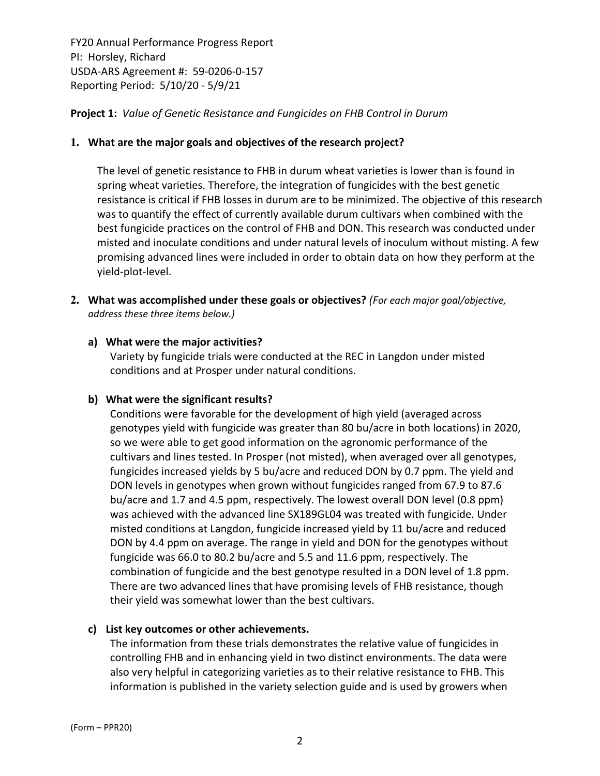#### **Project 1:** *Value of Genetic Resistance and Fungicides on FHB Control in Durum*

#### **1. What are the major goals and objectives of the research project?**

The level of genetic resistance to FHB in durum wheat varieties is lower than is found in spring wheat varieties. Therefore, the integration of fungicides with the best genetic resistance is critical if FHB losses in durum are to be minimized. The objective of this research was to quantify the effect of currently available durum cultivars when combined with the best fungicide practices on the control of FHB and DON. This research was conducted under misted and inoculate conditions and under natural levels of inoculum without misting. A few promising advanced lines were included in order to obtain data on how they perform at the yield‐plot‐level.

**2. What was accomplished under these goals or objectives?** *(For each major goal/objective, address these three items below.)*

#### **a) What were the major activities?**

Variety by fungicide trials were conducted at the REC in Langdon under misted conditions and at Prosper under natural conditions.

#### **b) What were the significant results?**

Conditions were favorable for the development of high yield (averaged across genotypes yield with fungicide was greater than 80 bu/acre in both locations) in 2020, so we were able to get good information on the agronomic performance of the cultivars and lines tested. In Prosper (not misted), when averaged over all genotypes, fungicides increased yields by 5 bu/acre and reduced DON by 0.7 ppm. The yield and DON levels in genotypes when grown without fungicides ranged from 67.9 to 87.6 bu/acre and 1.7 and 4.5 ppm, respectively. The lowest overall DON level (0.8 ppm) was achieved with the advanced line SX189GL04 was treated with fungicide. Under misted conditions at Langdon, fungicide increased yield by 11 bu/acre and reduced DON by 4.4 ppm on average. The range in yield and DON for the genotypes without fungicide was 66.0 to 80.2 bu/acre and 5.5 and 11.6 ppm, respectively. The combination of fungicide and the best genotype resulted in a DON level of 1.8 ppm. There are two advanced lines that have promising levels of FHB resistance, though their yield was somewhat lower than the best cultivars.

#### **c) List key outcomes or other achievements.**

The information from these trials demonstrates the relative value of fungicides in controlling FHB and in enhancing yield in two distinct environments. The data were also very helpful in categorizing varieties as to their relative resistance to FHB. This information is published in the variety selection guide and is used by growers when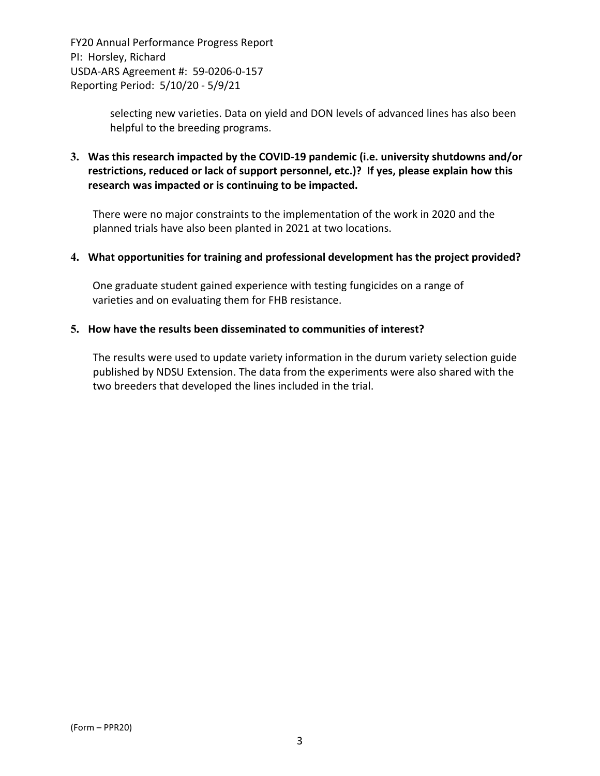> selecting new varieties. Data on yield and DON levels of advanced lines has also been helpful to the breeding programs.

**3. Was this research impacted by the COVID‐19 pandemic (i.e. university shutdowns and/or restrictions, reduced or lack of support personnel, etc.)? If yes, please explain how this research was impacted or is continuing to be impacted.**

There were no major constraints to the implementation of the work in 2020 and the planned trials have also been planted in 2021 at two locations.

#### **4. What opportunities for training and professional development has the project provided?**

One graduate student gained experience with testing fungicides on a range of varieties and on evaluating them for FHB resistance.

#### **5. How have the results been disseminated to communities of interest?**

The results were used to update variety information in the durum variety selection guide published by NDSU Extension. The data from the experiments were also shared with the two breeders that developed the lines included in the trial.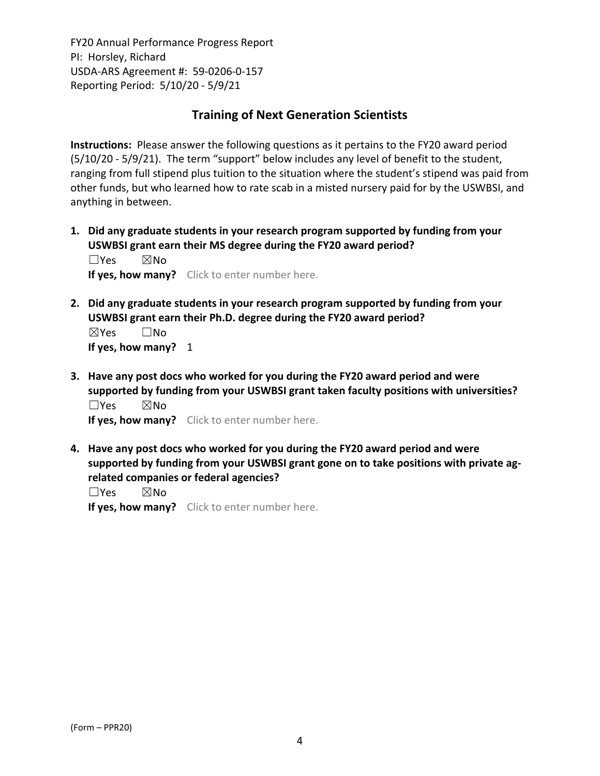# **Training of Next Generation Scientists**

**Instructions:** Please answer the following questions as it pertains to the FY20 award period (5/10/20 ‐ 5/9/21). The term "support" below includes any level of benefit to the student, ranging from full stipend plus tuition to the situation where the student's stipend was paid from other funds, but who learned how to rate scab in a misted nursery paid for by the USWBSI, and anything in between.

**1. Did any graduate students in your research program supported by funding from your USWBSI grant earn their MS degree during the FY20 award period?** ☐Yes ☒No

**If yes, how many?** Click to enter number here.

**2. Did any graduate students in your research program supported by funding from your USWBSI grant earn their Ph.D. degree during the FY20 award period?** ☒Yes ☐No

**If yes, how many?** 1

**3. Have any post docs who worked for you during the FY20 award period and were supported by funding from your USWBSI grant taken faculty positions with universities?** ☐Yes ☒No

**If yes, how many?** Click to enter number here.

**4. Have any post docs who worked for you during the FY20 award period and were supported by funding from your USWBSI grant gone on to take positions with private ag‐ related companies or federal agencies?**

☐Yes ☒No

**If yes, how many?** Click to enter number here.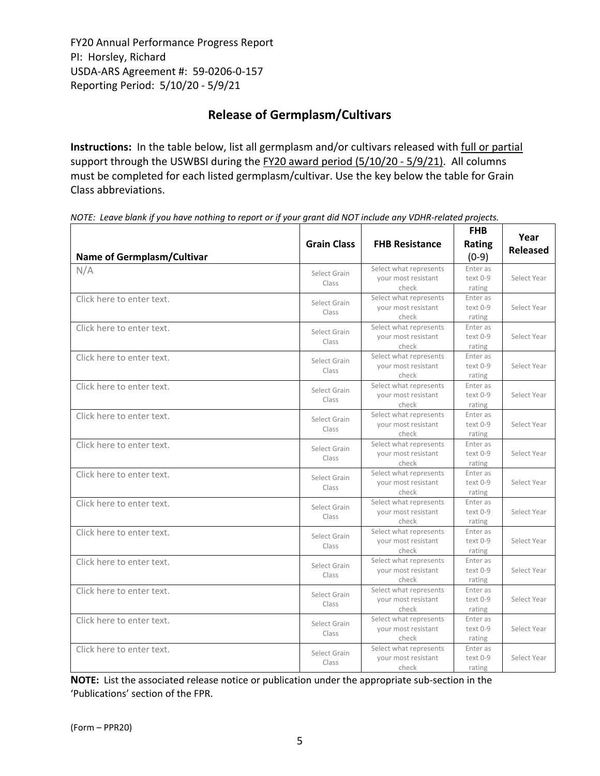# **Release of Germplasm/Cultivars**

**Instructions:** In the table below, list all germplasm and/or cultivars released with full or partial support through the USWBSI during the FY20 award period (5/10/20 - 5/9/21). All columns must be completed for each listed germplasm/cultivar. Use the key below the table for Grain Class abbreviations. 

| <b>Name of Germplasm/Cultivar</b> | <b>Grain Class</b>    | <b>FHB Resistance</b>                                  | <b>FHB</b><br>Rating<br>$(0-9)$  | Year<br><b>Released</b> |
|-----------------------------------|-----------------------|--------------------------------------------------------|----------------------------------|-------------------------|
| N/A                               | Select Grain<br>Class | Select what represents<br>your most resistant<br>check | Enter as<br>text 0-9<br>rating   | Select Year             |
| Click here to enter text.         | Select Grain<br>Class | Select what represents<br>your most resistant<br>check | Enter as<br>text 0-9<br>rating   | Select Year             |
| Click here to enter text.         | Select Grain<br>Class | Select what represents<br>your most resistant<br>check | Enter as<br>text 0-9<br>rating   | Select Year             |
| Click here to enter text.         | Select Grain<br>Class | Select what represents<br>your most resistant<br>check | Enter as<br>$text 0-9$<br>rating | Select Year             |
| Click here to enter text.         | Select Grain<br>Class | Select what represents<br>your most resistant<br>check | Enter as<br>text 0-9<br>rating   | Select Year             |
| Click here to enter text.         | Select Grain<br>Class | Select what represents<br>your most resistant<br>check | Enter as<br>text 0-9<br>rating   | Select Year             |
| Click here to enter text.         | Select Grain<br>Class | Select what represents<br>your most resistant<br>check | Enter as<br>text 0-9<br>rating   | Select Year             |
| Click here to enter text.         | Select Grain<br>Class | Select what represents<br>your most resistant<br>check | Enter as<br>text 0-9<br>rating   | Select Year             |
| Click here to enter text.         | Select Grain<br>Class | Select what represents<br>your most resistant<br>check | Enter as<br>text 0-9<br>rating   | Select Year             |
| Click here to enter text.         | Select Grain<br>Class | Select what represents<br>your most resistant<br>check | Enter as<br>text 0-9<br>rating   | Select Year             |
| Click here to enter text.         | Select Grain<br>Class | Select what represents<br>vour most resistant<br>check | Enter as<br>$text 0-9$<br>rating | Select Year             |
| Click here to enter text.         | Select Grain<br>Class | Select what represents<br>your most resistant<br>check | Enter as<br>text 0-9<br>rating   | Select Year             |
| Click here to enter text.         | Select Grain<br>Class | Select what represents<br>your most resistant<br>check | Enter as<br>text 0-9<br>rating   | Select Year             |
| Click here to enter text.         | Select Grain<br>Class | Select what represents<br>your most resistant<br>check | Enter as<br>text 0-9<br>rating   | Select Year             |

NOTE: Leave blank if you have nothing to report or if your grant did NOT include any VDHR-related projects.

**NOTE:** List the associated release notice or publication under the appropriate sub-section in the 'Publications' section of the FPR.